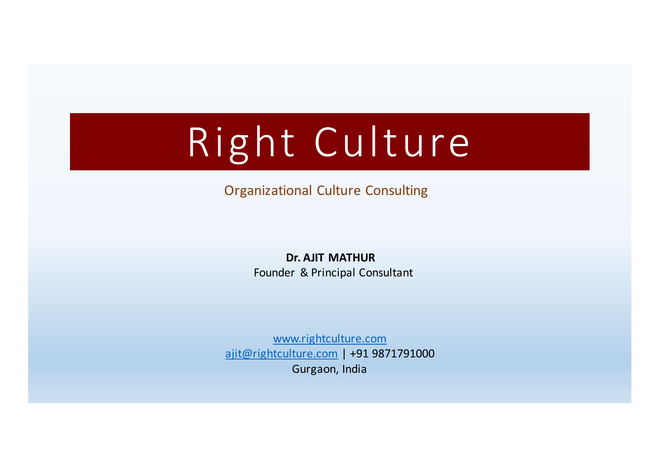# Right Culture

Organizational Culture Consulting

Dr. AJIT MATHUR Founder & Principal Consultant

www.rightculture.com ajit@rightculture.com | +91 9871791000 Gurgaon, India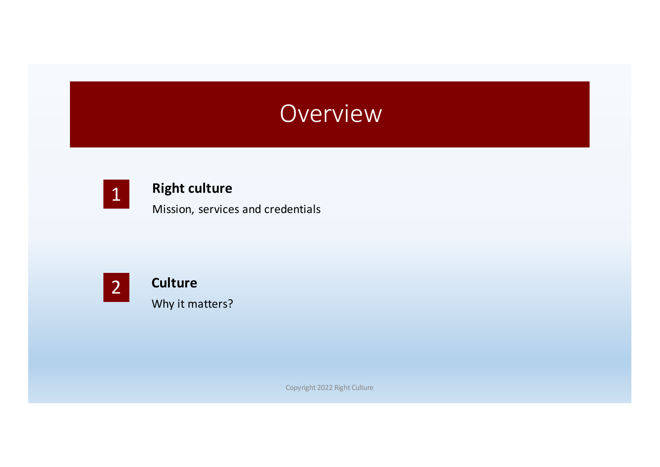### Overview



#### **Right culture**

Mission, services and credentials



**Culture** Why it matters?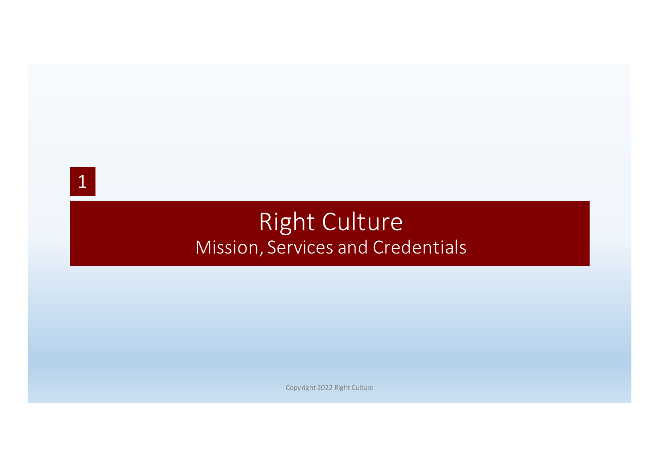

### **Right Culture** Mission, Services and Credentials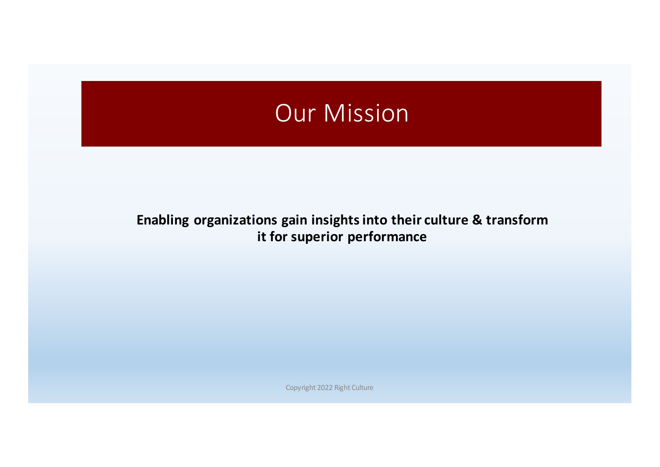### Our Mission

#### Enabling organizations gain insights into their culture & transform **it for superior performance**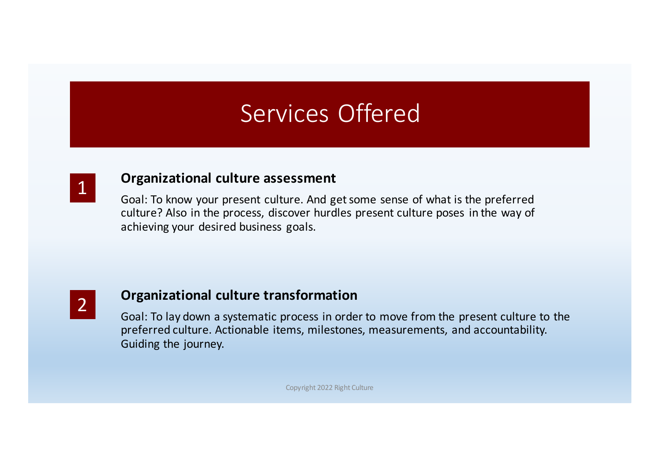### Services Offered



#### **Organizational culture assessment**

Goal: To know your present culture. And get some sense of what is the preferred culture? Also in the process, discover hurdles present culture poses in the way of achieving your desired business goals.



#### **Organizational culture transformation**

Goal: To lay down a systematic process in order to move from the present culture to the preferred culture. Actionable items, milestones, measurements, and accountability. Guiding the journey.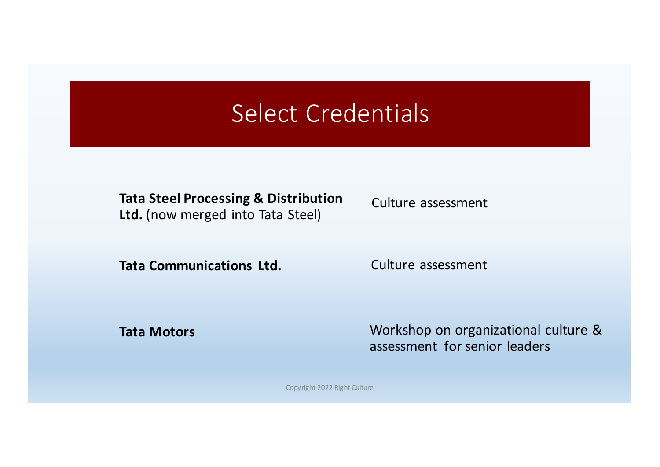### Select Credentials

**Tata Steel Processing & Distribution** Ltd. (now merged into Tata Steel)

**Tata Communications Ltd.** 

Culture assessment

Culture assessment

**Tata Motors**

Workshop on organizational culture & assessment for senior leaders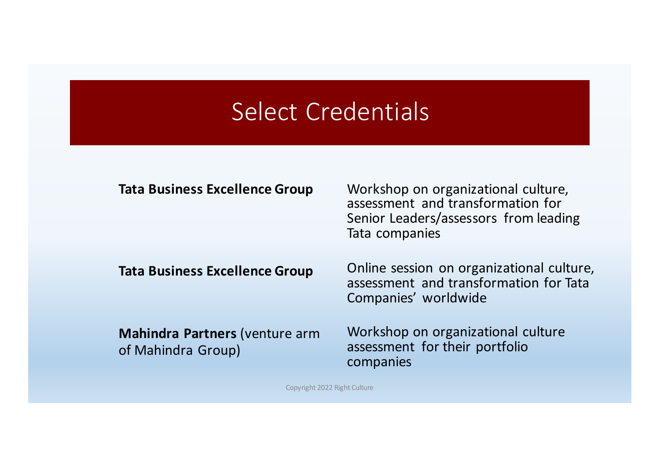#### Select Credentials

#### **Tata Business Excellence Group**

**Tata Business Excellence Group** 

**Mahindra Partners** (venture arm of Mahindra Group)

Workshop on organizational culture, assessment and transformation for Senior Leaders/assessors from leading Tata companies

Online session on organizational culture, assessment and transformation for Tata Companies' worldwide

Workshop on organizational culture assessment for their portfolio companies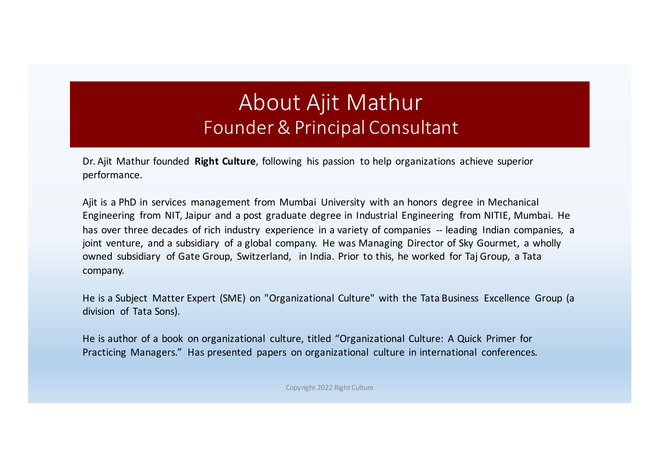#### About Ajit Mathur Founder & Principal Consultant

Dr. Ajit Mathur founded **Right Culture**, following his passion to help organizations achieve superior performance.

Ajit is a PhD in services management from Mumbai University with an honors degree in Mechanical Engineering from NIT, Jaipur and a post graduate degree in Industrial Engineering from NITIE, Mumbai. He has over three decades of rich industry experience in a variety of companies -- leading Indian companies, a joint venture, and a subsidiary of a global company. He was Managing Director of Sky Gourmet, a wholly owned subsidiary of Gate Group, Switzerland, in India. Prior to this, he worked for Taj Group, a Tata company.

He is a Subject Matter Expert (SME) on "Organizational Culture" with the Tata Business Excellence Group (a division of Tata Sons).

He is author of a book on organizational culture, titled "Organizational Culture: A Quick Primer for Practicing Managers." Has presented papers on organizational culture in international conferences.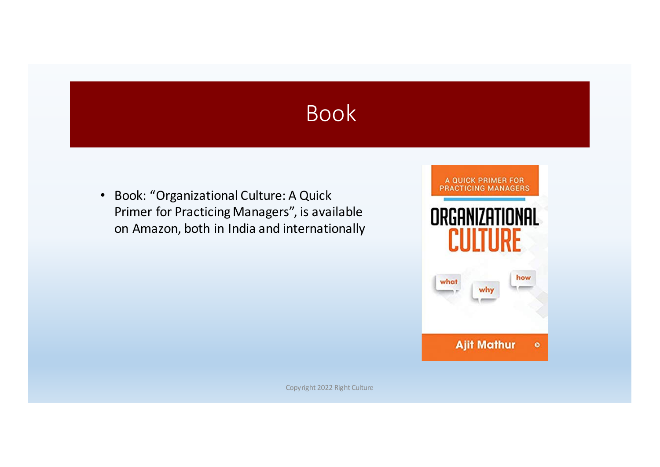### Book

• Book: "Organizational Culture: A Quick Primer for Practicing Managers", is available on Amazon, both in India and internationally

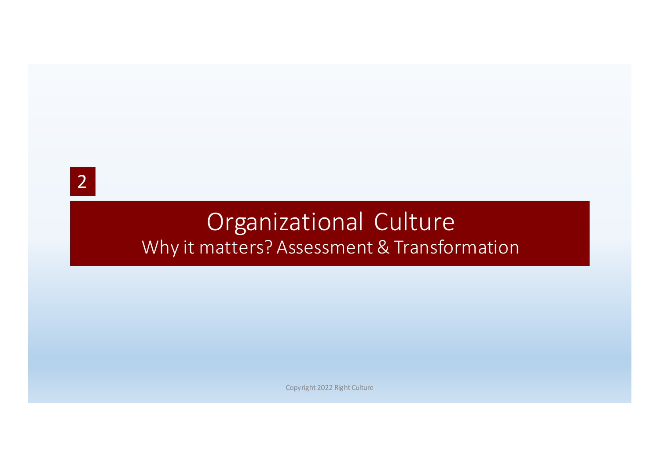2

### Organizational Culture Why it matters? Assessment & Transformation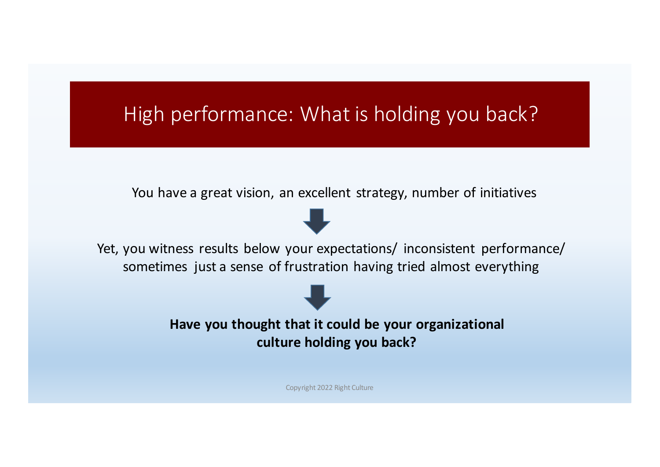#### High performance: What is holding you back?

You have a great vision, an excellent strategy, number of initiatives



Yet, you witness results below your expectations/ inconsistent performance/ sometimes just a sense of frustration having tried almost everything

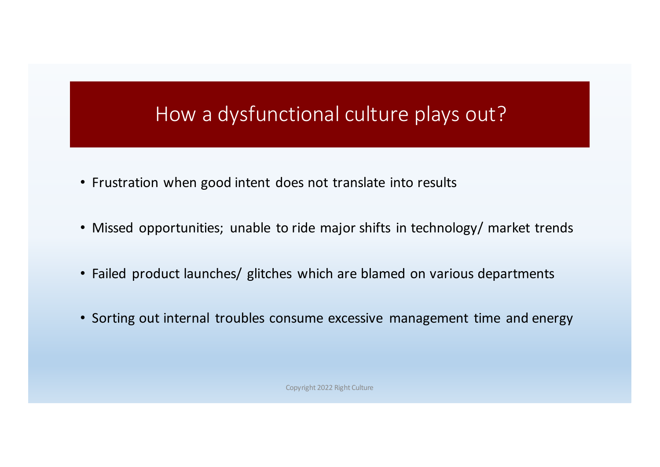#### How a dysfunctional culture plays out?

- Frustration when good intent does not translate into results
- Missed opportunities; unable to ride major shifts in technology/ market trends
- Failed product launches/ glitches which are blamed on various departments
- Sorting out internal troubles consume excessive management time and energy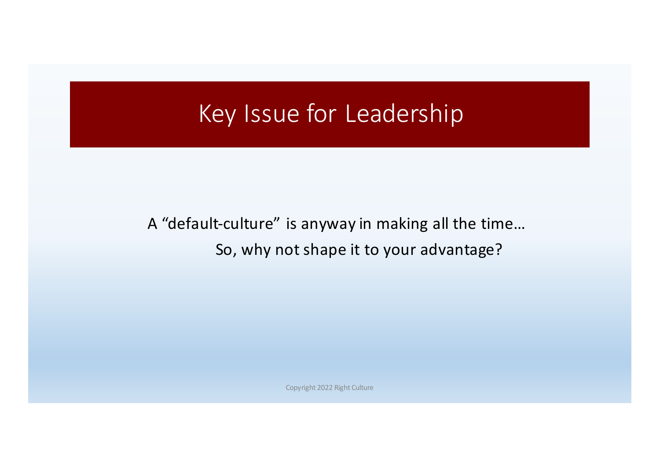#### Key Issue for Leadership

A "default-culture" is anyway in making all the time... So, why not shape it to your advantage?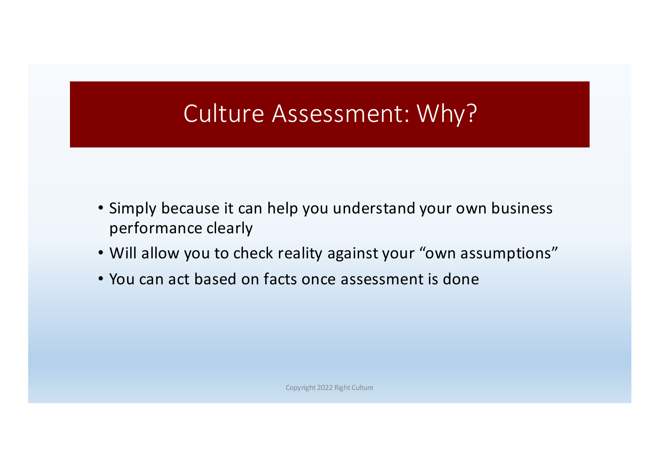### Culture Assessment: Why?

- Simply because it can help you understand your own business performance clearly
- Will allow you to check reality against your "own assumptions"
- You can act based on facts once assessment is done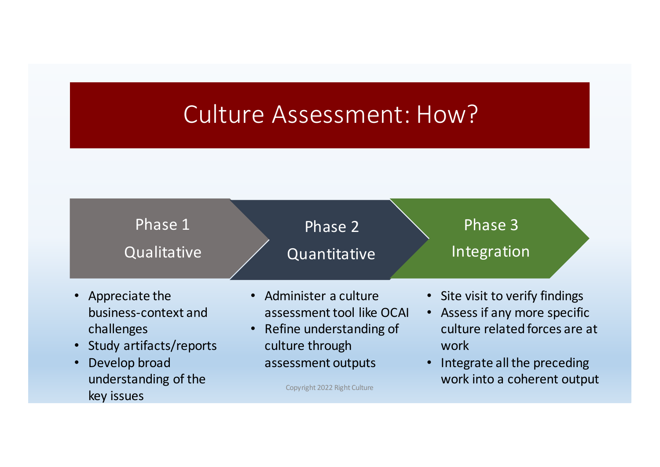### Culture Assessment: How?

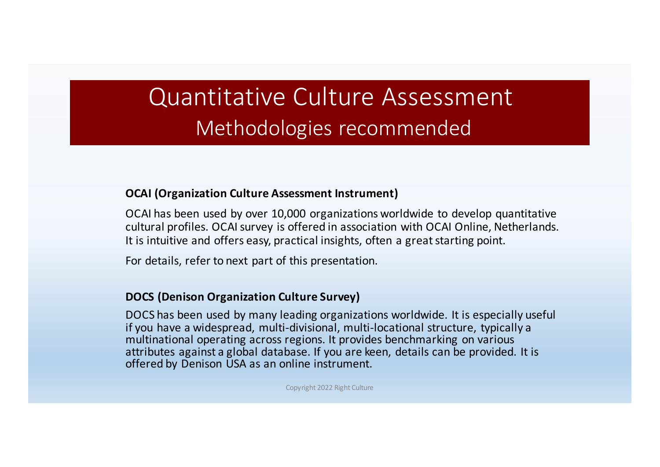### Quantitative Culture Assessment Methodologies recommended

#### **OCAI (Organization Culture Assessment Instrument)**

OCAI has been used by over 10,000 organizations worldwide to develop quantitative cultural profiles. OCAI survey is offered in association with OCAI Online, Netherlands. It is intuitive and offers easy, practical insights, often a great starting point.

For details, refer to next part of this presentation.

#### **DOCS** (Denison Organization Culture Survey)

DOCS has been used by many leading organizations worldwide. It is especially useful if you have a widespread, multi-divisional, multi-locational structure, typically a multinational operating across regions. It provides benchmarking on various attributes against a global database. If you are keen, details can be provided. It is offered by Denison USA as an online instrument.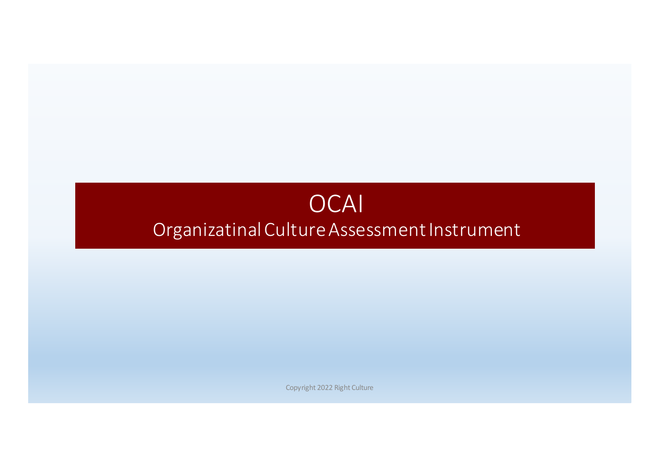#### OCAI Organizatinal Culture Assessment Instrument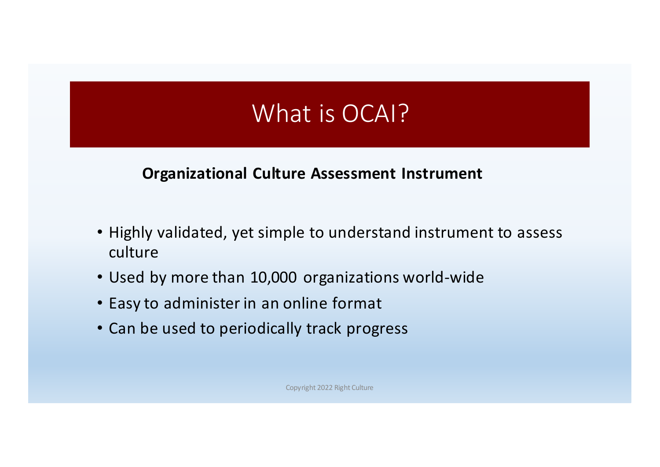### What is OCAI?

#### **Organizational Culture Assessment Instrument**

- Highly validated, yet simple to understand instrument to assess culture
- Used by more than 10,000 organizations world-wide
- Easy to administer in an online format
- Can be used to periodically track progress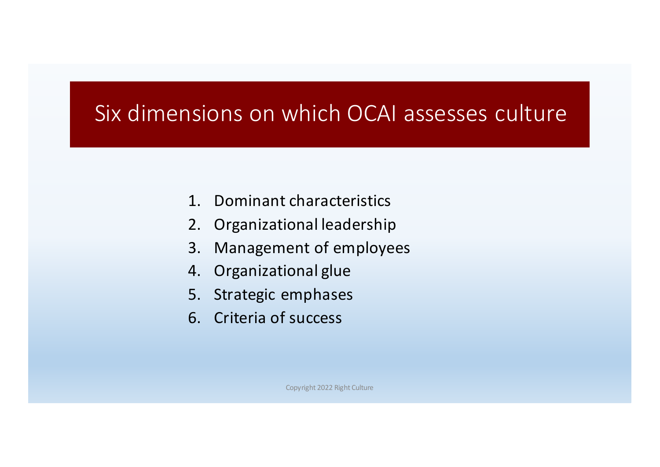#### Six dimensions on which OCAI assesses culture

- 1. Dominant characteristics
- 2. Organizational leadership
- 3. Management of employees
- 4. Organizational glue
- 5. Strategic emphases
- 6. Criteria of success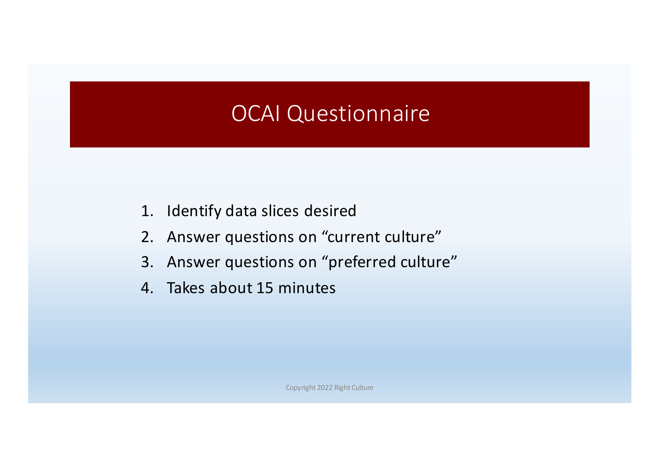#### OCAI Questionnaire

- 1. Identify data slices desired
- 2. Answer questions on "current culture"
- 3. Answer questions on "preferred culture"
- 4. Takes about 15 minutes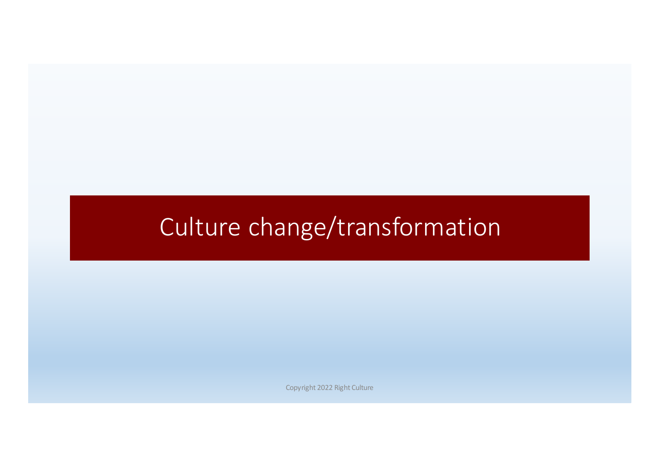### Culture change/transformation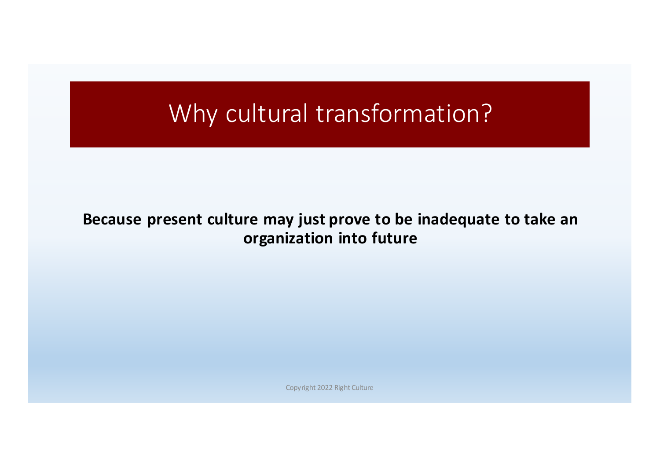### Why cultural transformation?

#### Because present culture may just prove to be inadequate to take an **organization into future**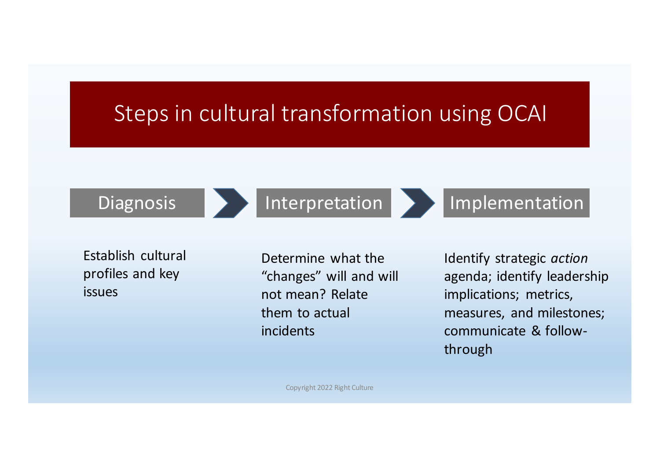#### Steps in cultural transformation using OCAI





Diagnosis **Interpretation Interpretation** 

Establish cultural profiles and key issues

Determine what the "changes" will and will not mean? Relate them to actual incidents

Identify strategic *action* agenda; identify leadership implications; metrics, measures, and milestones; communicate & followthrough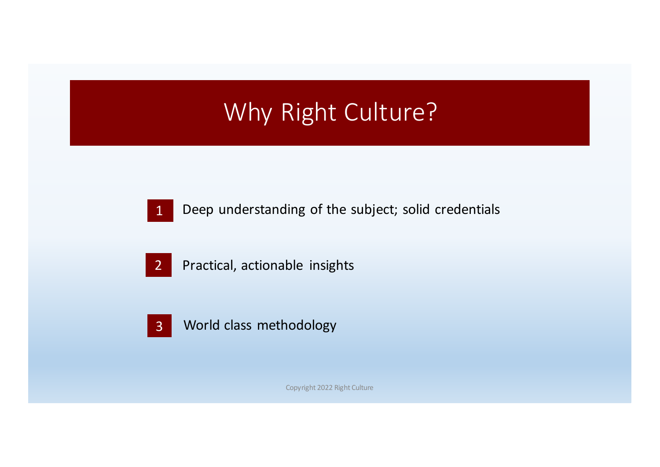## Why Right Culture?

1 Deep understanding of the subject; solid credentials

Practical, actionable insights

World class methodology 3

2